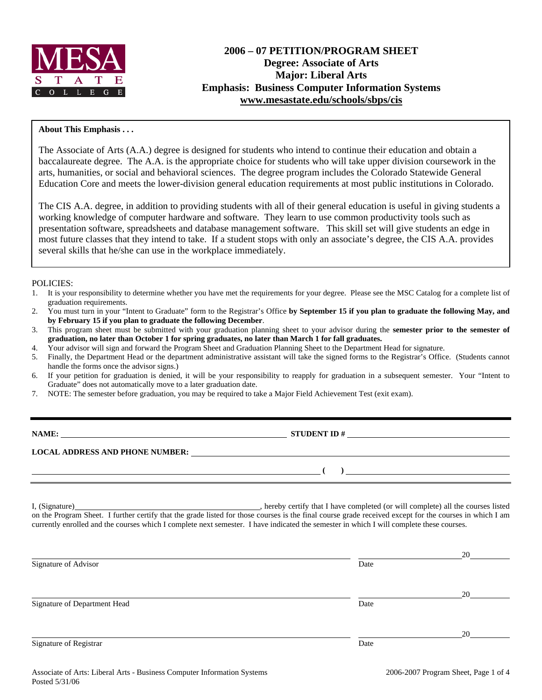

# **2006 – 07 PETITION/PROGRAM SHEET Degree: Associate of Arts Major: Liberal Arts Emphasis: Business Computer Information Systems www.mesastate.edu/schools/sbps/cis**

### **About This Emphasis . . .**

The Associate of Arts (A.A.) degree is designed for students who intend to continue their education and obtain a baccalaureate degree. The A.A. is the appropriate choice for students who will take upper division coursework in the arts, humanities, or social and behavioral sciences. The degree program includes the Colorado Statewide General Education Core and meets the lower-division general education requirements at most public institutions in Colorado.

The CIS A.A. degree, in addition to providing students with all of their general education is useful in giving students a working knowledge of computer hardware and software. They learn to use common productivity tools such as presentation software, spreadsheets and database management software. This skill set will give students an edge in most future classes that they intend to take. If a student stops with only an associate's degree, the CIS A.A. provides several skills that he/she can use in the workplace immediately.

#### POLICIES:

- 1. It is your responsibility to determine whether you have met the requirements for your degree. Please see the MSC Catalog for a complete list of graduation requirements.
- 2. You must turn in your "Intent to Graduate" form to the Registrar's Office **by September 15 if you plan to graduate the following May, and by February 15 if you plan to graduate the following December**.
- 3. This program sheet must be submitted with your graduation planning sheet to your advisor during the **semester prior to the semester of graduation, no later than October 1 for spring graduates, no later than March 1 for fall graduates.**
- 4. Your advisor will sign and forward the Program Sheet and Graduation Planning Sheet to the Department Head for signature.
- 5. Finally, the Department Head or the department administrative assistant will take the signed forms to the Registrar's Office. (Students cannot handle the forms once the advisor signs.)
- 6. If your petition for graduation is denied, it will be your responsibility to reapply for graduation in a subsequent semester. Your "Intent to Graduate" does not automatically move to a later graduation date.
- 7. NOTE: The semester before graduation, you may be required to take a Major Field Achievement Test (exit exam).

**NAME: STUDENT ID # STUDENT ID # STUDENT ID # STUDENT ID # STUDENT ID # STUDENT ID # STUDENT ID # STUDENT ID # STUDENT ID # STUDENT 1D + STUDENT 1D + STUDENT 1D + STUDENT 1D + STUDENT 1D + STU** 

**LOCAL ADDRESS AND PHONE NUMBER:**

I, (Signature) **Solution** , hereby certify that I have completed (or will complete) all the courses listed on the Program Sheet. I further certify that the grade listed for those courses is the final course grade received except for the courses in which I am currently enrolled and the courses which I complete next semester. I have indicated the semester in which I will complete these courses.

|                              |      | 20 |
|------------------------------|------|----|
| Signature of Advisor         | Date |    |
|                              |      | 20 |
| Signature of Department Head | Date |    |
|                              |      | 20 |
| Signature of Registrar       | Date |    |

 **( )**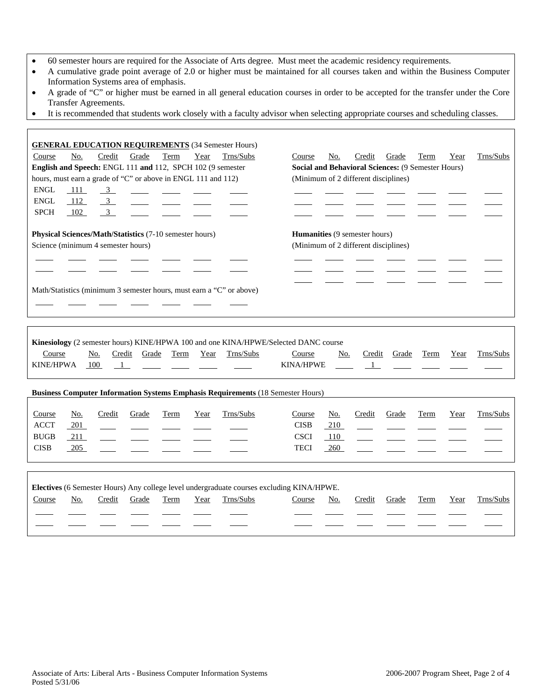- 60 semester hours are required for the Associate of Arts degree. Must meet the academic residency requirements.
- A cumulative grade point average of 2.0 or higher must be maintained for all courses taken and within the Business Computer Information Systems area of emphasis.
- A grade of "C" or higher must be earned in all general education courses in order to be accepted for the transfer under the Core Transfer Agreements.
- It is recommended that students work closely with a faculty advisor when selecting appropriate courses and scheduling classes.

| <b>GENERAL EDUCATION REQUIREMENTS (34 Semester Hours)</b>                              |                                                               |  |  |  |  |  |  |  |
|----------------------------------------------------------------------------------------|---------------------------------------------------------------|--|--|--|--|--|--|--|
| Credit<br>Trns/Subs<br>No.<br>Grade<br>Term<br>Year<br>Course                          | Trns/Subs<br>Grade<br>Course<br>No.<br>Credit<br>Term<br>Year |  |  |  |  |  |  |  |
| English and Speech: ENGL 111 and 112, SPCH 102 (9 semester                             | Social and Behavioral Sciences: (9 Semester Hours)            |  |  |  |  |  |  |  |
| hours, must earn a grade of "C" or above in ENGL 111 and 112)                          | (Minimum of 2 different disciplines)                          |  |  |  |  |  |  |  |
| <b>ENGL</b><br>111<br>$\overline{\mathbf{3}}$                                          |                                                               |  |  |  |  |  |  |  |
| <b>ENGL</b><br>112<br>$\overline{\mathbf{3}}$                                          |                                                               |  |  |  |  |  |  |  |
| <b>SPCH</b><br>$\mathbf{3}$<br>102                                                     |                                                               |  |  |  |  |  |  |  |
|                                                                                        |                                                               |  |  |  |  |  |  |  |
| Physical Sciences/Math/Statistics (7-10 semester hours)                                | Humanities (9 semester hours)                                 |  |  |  |  |  |  |  |
| Science (minimum 4 semester hours)                                                     | (Minimum of 2 different disciplines)                          |  |  |  |  |  |  |  |
|                                                                                        |                                                               |  |  |  |  |  |  |  |
|                                                                                        |                                                               |  |  |  |  |  |  |  |
|                                                                                        |                                                               |  |  |  |  |  |  |  |
| Math/Statistics (minimum 3 semester hours, must earn a "C" or above)                   |                                                               |  |  |  |  |  |  |  |
|                                                                                        |                                                               |  |  |  |  |  |  |  |
|                                                                                        |                                                               |  |  |  |  |  |  |  |
|                                                                                        |                                                               |  |  |  |  |  |  |  |
|                                                                                        |                                                               |  |  |  |  |  |  |  |
| Kinesiology (2 semester hours) KINE/HPWA 100 and one KINA/HPWE/Selected DANC course    |                                                               |  |  |  |  |  |  |  |
| Trns/Subs<br>Course<br>Credit<br>Grade<br>Term<br>Year<br>No.                          | Trns/Subs<br>Credit<br>Grade<br>Term<br>Course<br>No.<br>Year |  |  |  |  |  |  |  |
| <b>KINE/HPWA</b><br>100<br>$\overline{1}$                                              | <b>KINA/HPWE</b><br>$\mathbf{1}$                              |  |  |  |  |  |  |  |
|                                                                                        |                                                               |  |  |  |  |  |  |  |
| <b>Business Computer Information Systems Emphasis Requirements (18 Semester Hours)</b> |                                                               |  |  |  |  |  |  |  |
|                                                                                        |                                                               |  |  |  |  |  |  |  |
| Trns/Subs<br>Term<br>Course<br><u>No.</u><br>Credit<br>Grade<br>Year                   | Credit<br>Trns/Subs<br>No.<br>Grade<br>Term<br>Year<br>Course |  |  |  |  |  |  |  |
| <b>ACCT</b><br>201                                                                     | <b>CISB</b><br>210                                            |  |  |  |  |  |  |  |
| <b>BUGB</b><br>211                                                                     | <b>CSCI</b><br>110                                            |  |  |  |  |  |  |  |
| <b>CISB</b><br>205                                                                     | <b>TECI</b><br>260                                            |  |  |  |  |  |  |  |
|                                                                                        |                                                               |  |  |  |  |  |  |  |
|                                                                                        |                                                               |  |  |  |  |  |  |  |

| <b>Electives</b> (6 Semester Hours) Any college level undergraduate courses excluding KINA/HPWE. |     |        |       |      |      |           |        |     |        |       |      |      |           |
|--------------------------------------------------------------------------------------------------|-----|--------|-------|------|------|-----------|--------|-----|--------|-------|------|------|-----------|
| Course                                                                                           | No. | Credit | Grade | Term | Year | Trns/Subs | Course | No. | Credit | Grade | Term | Year | Trns/Subs |
|                                                                                                  |     |        |       |      |      |           |        |     |        |       |      |      |           |
|                                                                                                  |     |        |       |      |      |           |        |     |        |       |      |      |           |

Г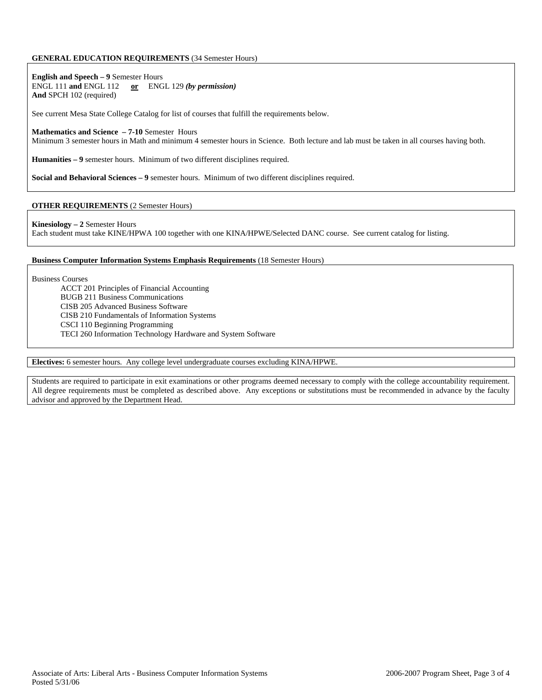#### **GENERAL EDUCATION REQUIREMENTS** (34 Semester Hours)

**English and Speech – 9** Semester Hours ENGL 111 **and** ENGL 112 **or** ENGL 129 *(by permission)* **And** SPCH 102 (required)

See current Mesa State College Catalog for list of courses that fulfill the requirements below.

#### **Mathematics and Science – 7-10** Semester Hours

Minimum 3 semester hours in Math and minimum 4 semester hours in Science. Both lecture and lab must be taken in all courses having both.

**Humanities – 9** semester hours. Minimum of two different disciplines required.

**Social and Behavioral Sciences – 9** semester hours. Minimum of two different disciplines required.

#### **OTHER REQUIREMENTS** (2 Semester Hours)

**Kinesiology – 2** Semester Hours

Each student must take KINE/HPWA 100 together with one KINA/HPWE/Selected DANC course. See current catalog for listing.

#### **Business Computer Information Systems Emphasis Requirements** (18 Semester Hours)

Business Courses

ACCT 201 Principles of Financial Accounting BUGB 211 Business Communications CISB 205 Advanced Business Software CISB 210 Fundamentals of Information Systems CSCI 110 Beginning Programming

TECI 260 Information Technology Hardware and System Software

#### **Electives:** 6 semester hours. Any college level undergraduate courses excluding KINA/HPWE.

Students are required to participate in exit examinations or other programs deemed necessary to comply with the college accountability requirement. All degree requirements must be completed as described above. Any exceptions or substitutions must be recommended in advance by the faculty advisor and approved by the Department Head.